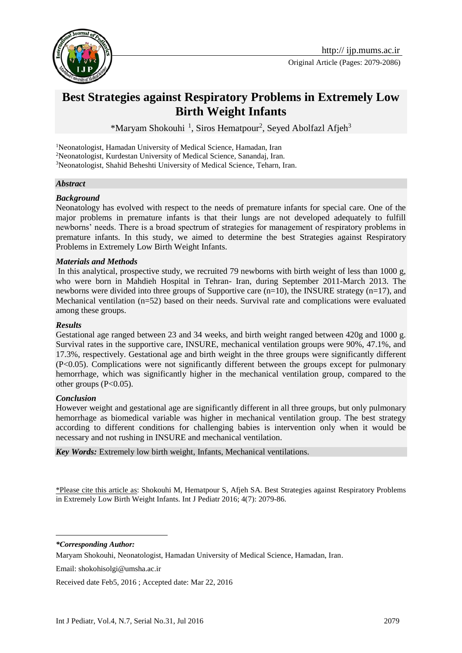

Original Article (Pages: 2079-2086)

# **Best Strategies against Respiratory Problems in Extremely Low Birth Weight Infants**

\*Maryam Shokouhi<sup>1</sup>, Siros Hematpour<sup>2</sup>, Seyed Abolfazl Afjeh<sup>3</sup>

<sup>1</sup>Neonatologist, Hamadan University of Medical Science, Hamadan, Iran <sup>2</sup>Neonatologist, Kurdestan University of Medical Science, Sanandaj, Iran. <sup>3</sup>Neonatologist, Shahid Beheshti University of Medical Science, Teharn, Iran.

#### *Abstract*

#### *Background*

Neonatology has evolved with respect to the needs of premature infants for special care. One of the major problems in premature infants is that their lungs are not developed adequately to fulfill newborns' needs. There is a broad spectrum of strategies for management of respiratory problems in premature infants. In this study, we aimed to determine the best Strategies against Respiratory Problems in Extremely Low Birth Weight Infants.

#### *Materials and Methods*

In this analytical, prospective study, we recruited 79 newborns with birth weight of less than 1000 g, who were born in Mahdieh Hospital in Tehran- Iran, during September 2011-March 2013. The newborns were divided into three groups of Supportive care (n=10), the INSURE strategy (n=17), and Mechanical ventilation (n=52) based on their needs. Survival rate and complications were evaluated among these groups.

#### *Results*

Gestational age ranged between 23 and 34 weeks, and birth weight ranged between 420g and 1000 g. Survival rates in the supportive care, INSURE, mechanical ventilation groups were 90%, 47.1%, and 17.3%, respectively. Gestational age and birth weight in the three groups were significantly different (P<0.05). Complications were not significantly different between the groups except for pulmonary hemorrhage, which was significantly higher in the mechanical ventilation group, compared to the other groups  $(P<0.05)$ .

#### *Conclusion*

However weight and gestational age are significantly different in all three groups, but only pulmonary hemorrhage as biomedical variable was higher in mechanical ventilation group. The best strategy according to different conditions for challenging babies is intervention only when it would be necessary and not rushing in INSURE and mechanical ventilation.

*Key Words:* Extremely low birth weight, Infants, Mechanical ventilations.

\*Please cite this article as: Shokouhi M, Hematpour S, Afjeh SA. Best Strategies against Respiratory Problems in Extremely Low Birth Weight Infants. Int J Pediatr 2016; 4(7): 2079-86.

*\*Corresponding Author:*

1

Email: [shokohisolgi@umsha.ac.ir](mailto:shokohisolgi@umsha.ac.ir)

Received date Feb5, 2016 ; Accepted date: Mar 22, 2016

Maryam Shokouhi, Neonatologist, Hamadan University of Medical Science, Hamadan, Iran.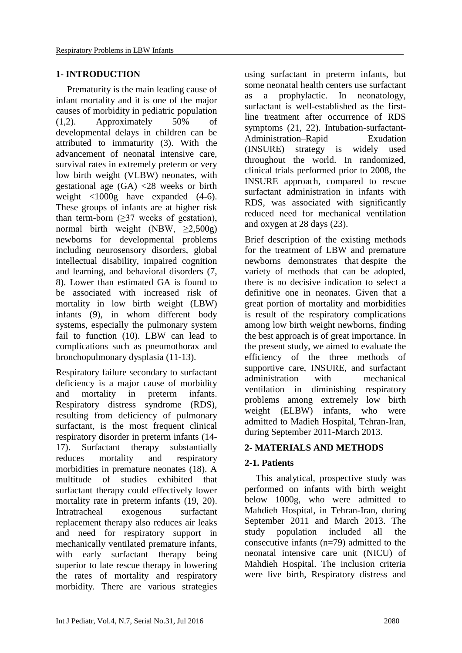### **1- INTRODUCTION**

Prematurity is the main leading cause of infant mortality and it is one of the major causes of morbidity in pediatric population [\(1,](#page-6-0)[2\)](#page-6-1). Approximately 50% of developmental delays in children can be attributed to immaturity [\(3\)](#page-6-2). With the advancement of neonatal intensive care, survival rates in extremely preterm or very low birth weight (VLBW) neonates, with gestational age (GA) <28 weeks or birth weight <1000g have expanded [\(4-6\)](#page-6-3). These groups of infants are at higher risk than term-born  $(\geq)37$  weeks of gestation), normal birth weight (NBW,  $\geq 2,500g$ ) newborns for developmental problems including neurosensory disorders, global intellectual disability, impaired cognition and learning, and behavioral disorders [\(7,](#page-6-4) [8\)](#page-6-5). Lower than estimated GA is found to be associated with increased risk of mortality in low birth weight (LBW) infants [\(9\)](#page-6-6), in whom different body systems, especially the pulmonary system fail to function [\(10\)](#page-6-7). LBW can lead to complications such as pneumothorax and bronchopulmonary dysplasia [\(11-13\)](#page-6-8).

Respiratory failure secondary to surfactant deficiency is a major cause of morbidity and mortality in preterm infants. Respiratory distress syndrome (RDS), resulting from deficiency of pulmonary surfactant, is the most frequent clinical respiratory disorder in preterm infants [\(14-](#page-6-9) [17\)](#page-6-9). Surfactant therapy substantially reduces mortality and respiratory morbidities in premature neonates [\(18\)](#page-7-0). A multitude of studies exhibited that surfactant therapy could effectively lower mortality rate in preterm infants [\(19,](#page-7-1) [20\)](#page-7-2). Intratracheal exogenous surfactant replacement therapy also reduces air leaks and need for respiratory support in mechanically ventilated premature infants, with early surfactant therapy being superior to late rescue therapy in lowering the rates of mortality and respiratory morbidity. There are various strategies using surfactant in preterm infants, but some neonatal health centers use surfactant as a prophylactic. In neonatology, surfactant is well-established as the firstline treatment after occurrence of RDS symptoms [\(21,](#page-7-3) [22\)](#page-7-4). Intubation-surfactant-Administration–Rapid Exudation (INSURE) strategy is widely used throughout the world. In randomized, clinical trials performed prior to 2008, the INSURE approach, compared to rescue surfactant administration in infants with RDS, was associated with significantly reduced need for mechanical ventilation and oxygen at 28 days [\(23\)](#page-7-5).

Brief description of the existing methods for the treatment of LBW and premature newborns demonstrates that despite the variety of methods that can be adopted, there is no decisive indication to select a definitive one in neonates. Given that a great portion of mortality and morbidities is result of the respiratory complications among low birth weight newborns, finding the best approach is of great importance. In the present study, we aimed to evaluate the efficiency of the three methods of supportive care, INSURE, and surfactant administration with mechanical ventilation in diminishing respiratory problems among extremely low birth weight (ELBW) infants, who were admitted to Madieh Hospital, Tehran-Iran, during September 2011-March 2013.

## **2- MATERIALS AND METHODS**

### **2-1. Patients**

This analytical, prospective study was performed on infants with birth weight below 1000g, who were admitted to Mahdieh Hospital, in Tehran-Iran, during September 2011 and March 2013. The study population included all the consecutive infants  $(n=79)$  admitted to the neonatal intensive care unit (NICU) of Mahdieh Hospital. The inclusion criteria were live birth, Respiratory distress and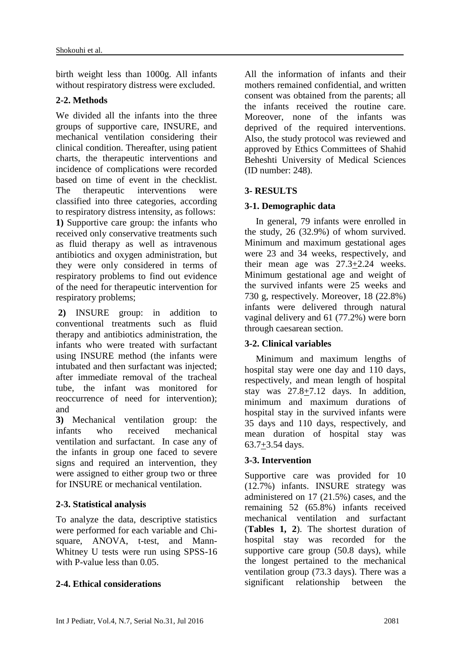birth weight less than 1000g. All infants without respiratory distress were excluded.

## **2-2. Methods**

We divided all the infants into the three groups of supportive care, INSURE, and mechanical ventilation considering their clinical condition. Thereafter, using patient charts, the therapeutic interventions and incidence of complications were recorded based on time of event in the checklist. The therapeutic interventions were classified into three categories, according to respiratory distress intensity, as follows: **1)** Supportive care group: the infants who received only conservative treatments such as fluid therapy as well as intravenous antibiotics and oxygen administration, but they were only considered in terms of respiratory problems to find out evidence of the need for therapeutic intervention for respiratory problems;

**2)** INSURE group: in addition to conventional treatments such as fluid therapy and antibiotics administration, the infants who were treated with surfactant using INSURE method (the infants were intubated and then surfactant was injected; after immediate removal of the tracheal tube, the infant was monitored for reoccurrence of need for intervention); and

**3)** Mechanical ventilation group: the infants who received mechanical ventilation and surfactant. In case any of the infants in group one faced to severe signs and required an intervention, they were assigned to either group two or three for INSURE or mechanical ventilation.

## **2-3. Statistical analysis**

To analyze the data, descriptive statistics were performed for each variable and Chisquare, ANOVA, t-test, and Mann-Whitney U tests were run using SPSS-16 with P-value less than 0.05.

## **2-4. Ethical considerations**

All the information of infants and their mothers remained confidential, and written consent was obtained from the parents; all the infants received the routine care. Moreover, none of the infants was deprived of the required interventions. Also, the study protocol was reviewed and approved by Ethics Committees of Shahid Beheshti University of Medical Sciences (ID number: 248).

## **3- RESULTS**

## **3-1. Demographic data**

In general, 79 infants were enrolled in the study, 26 (32.9%) of whom survived. Minimum and maximum gestational ages were 23 and 34 weeks, respectively, and their mean age was 27.3+2.24 weeks. Minimum gestational age and weight of the survived infants were 25 weeks and 730 g, respectively. Moreover, 18 (22.8%) infants were delivered through natural vaginal delivery and 61 (77.2%) were born through caesarean section.

## **3-2. Clinical variables**

Minimum and maximum lengths of hospital stay were one day and 110 days, respectively, and mean length of hospital stay was 27.8+7.12 days. In addition, minimum and maximum durations of hospital stay in the survived infants were 35 days and 110 days, respectively, and mean duration of hospital stay was  $63.7 + 3.54$  days.

## **3-3. Intervention**

Supportive care was provided for 10 (12.7%) infants. INSURE strategy was administered on 17 (21.5%) cases, and the remaining 52 (65.8%) infants received mechanical ventilation and surfactant (**Tables 1, 2**). The shortest duration of hospital stay was recorded for the supportive care group (50.8 days), while the longest pertained to the mechanical ventilation group (73.3 days). There was a significant relationship between the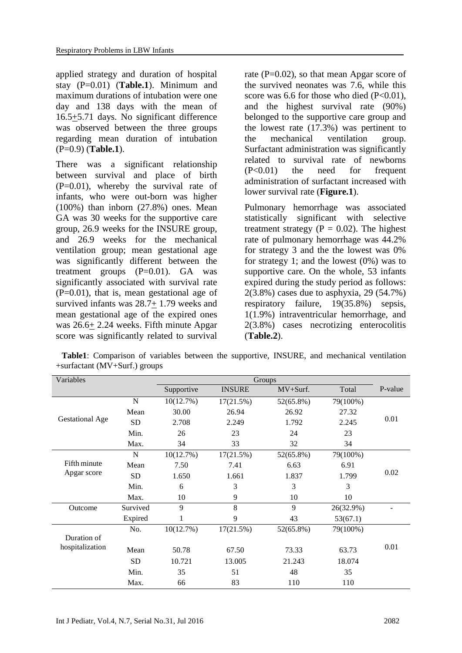applied strategy and duration of hospital stay (P=0.01) (**Table.1**). Minimum and maximum durations of intubation were one day and 138 days with the mean of 16.5+5.71 days. No significant difference was observed between the three groups regarding mean duration of intubation (P=0.9) (**Table.1**).

There was a significant relationship between survival and place of birth  $(P=0.01)$ , whereby the survival rate of infants, who were out-born was higher (100%) than inborn (27.8%) ones. Mean GA was 30 weeks for the supportive care group, 26.9 weeks for the INSURE group, and 26.9 weeks for the mechanical ventilation group; mean gestational age was significantly different between the treatment groups  $(P=0.01)$ . GA was significantly associated with survival rate  $(P=0.01)$ , that is, mean gestational age of survived infants was 28.7+ 1.79 weeks and mean gestational age of the expired ones was 26.6+ 2.24 weeks. Fifth minute Apgar score was significantly related to survival rate  $(P=0.02)$ , so that mean Apgar score of the survived neonates was 7.6, while this score was 6.6 for those who died  $(P<0.01)$ . and the highest survival rate (90%) belonged to the supportive care group and the lowest rate (17.3%) was pertinent to the mechanical ventilation group. Surfactant administration was significantly related to survival rate of newborns  $(P<0.01)$  the need for frequent administration of surfactant increased with lower survival rate (**Figure.1**).

Pulmonary hemorrhage was associated statistically significant with selective treatment strategy ( $P = 0.02$ ). The highest rate of pulmonary hemorrhage was 44.2% for strategy 3 and the the lowest was 0% for strategy 1; and the lowest (0%) was to supportive care. On the whole, 53 infants expired during the study period as follows: 2(3.8%) cases due to asphyxia, 29 (54.7%) respiratory failure, 19(35.8%) sepsis, 1(1.9%) intraventricular hemorrhage, and 2(3.8%) cases necrotizing enterocolitis (**Table.2**).

| Variables                   |             | Groups     |               |           |           |                |
|-----------------------------|-------------|------------|---------------|-----------|-----------|----------------|
|                             |             | Supportive | <b>INSURE</b> | MV+Surf.  | Total     | P-value        |
| <b>Gestational Age</b>      | $\mathbf N$ | 10(12.7%)  | 17(21.5%)     | 52(65.8%) | 79(100%)  | 0.01           |
|                             | Mean        | 30.00      | 26.94         | 26.92     | 27.32     |                |
|                             | <b>SD</b>   | 2.708      | 2.249         | 1.792     | 2.245     |                |
|                             | Min.        | 26         | 23            | 24        | 23        |                |
|                             | Max.        | 34         | 33            | 32        | 34        |                |
| Fifth minute<br>Apgar score | $\mathbf N$ | 10(12.7%)  | 17(21.5%)     | 52(65.8%) | 79(100%)  | 0.02           |
|                             | Mean        | 7.50       | 7.41          | 6.63      | 6.91      |                |
|                             | <b>SD</b>   | 1.650      | 1.661         | 1.837     | 1.799     |                |
|                             | Min.        | 6          | 3             | 3         | 3         |                |
|                             | Max.        | 10         | 9             | 10        | 10        |                |
| Outcome                     | Survived    | 9          | 8             | 9         | 26(32.9%) | $\overline{a}$ |
|                             | Expired     | 1          | 9             | 43        | 53(67.1)  |                |
|                             | No.         | 10(12.7%)  | 17(21.5%)     | 52(65.8%) | 79(100%)  |                |
| Duration of                 |             |            |               |           |           |                |
| hospitalization             | Mean        | 50.78      | 67.50         | 73.33     | 63.73     | 0.01           |
|                             | <b>SD</b>   | 10.721     | 13.005        | 21.243    | 18.074    |                |
|                             | Min.        | 35         | 51            | 48        | 35        |                |
|                             | Max.        | 66         | 83            | 110       | 110       |                |

 **Table1**: Comparison of variables between the supportive, INSURE, and mechanical ventilation +surfactant (MV+Surf.) groups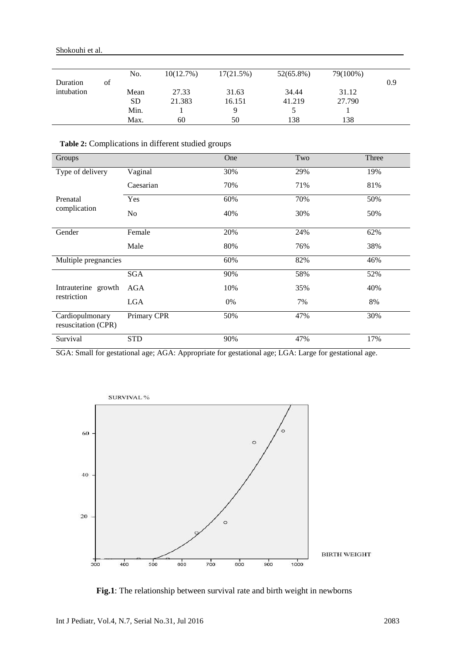|            |    | No.       | 10(12.7%) | 17(21.5%) | $52(65.8\%)$ | 79(100%) |     |
|------------|----|-----------|-----------|-----------|--------------|----------|-----|
| Duration   | οf |           |           |           |              |          | 0.9 |
| intubation |    | Mean      | 27.33     | 31.63     | 34.44        | 31.12    |     |
|            |    | <b>SD</b> | 21.383    | 16.151    | 41.219       | 27.790   |     |
|            |    | Min.      |           | Q         |              |          |     |
|            |    | Max.      | 60        | 50        | 138          | 138      |     |

**Table 2:** Complications in different studied groups

| Groups                                 |             | One | Two | Three |
|----------------------------------------|-------------|-----|-----|-------|
| Type of delivery                       | Vaginal     | 30% | 29% | 19%   |
|                                        | Caesarian   | 70% | 71% | 81%   |
| Prenatal<br>complication               | Yes         | 60% | 70% | 50%   |
|                                        | No          | 40% | 30% | 50%   |
| Gender                                 | Female      | 20% | 24% | 62%   |
|                                        | Male        | 80% | 76% | 38%   |
| Multiple pregnancies                   |             | 60% | 82% | 46%   |
|                                        | <b>SGA</b>  | 90% | 58% | 52%   |
| Intrauterine growth                    | AGA         | 10% | 35% | 40%   |
| restriction                            | <b>LGA</b>  | 0%  | 7%  | 8%    |
| Cardiopulmonary<br>resuscitation (CPR) | Primary CPR | 50% | 47% | 30%   |
| Survival                               | <b>STD</b>  | 90% | 47% | 17%   |

SGA: Small for gestational age; AGA: Appropriate for gestational age; LGA: Large for gestational age.



 **Fig.1**: The relationship between survival rate and birth weight in newborns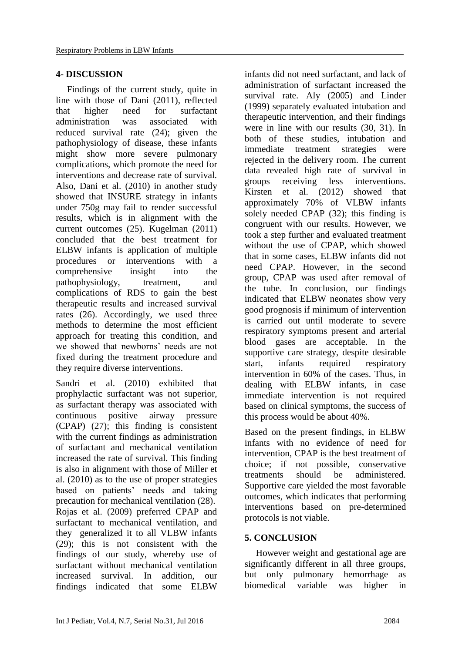#### **4- DISCUSSION**

Findings of the current study, quite in line with those of Dani (2011), reflected that higher need for surfactant administration was associated with reduced survival rate [\(24\)](#page-7-6); given the pathophysiology of disease, these infants might show more severe pulmonary complications, which promote the need for interventions and decrease rate of survival. Also, Dani et al. (2010) in another study showed that INSURE strategy in infants under 750g may fail to render successful results, which is in alignment with the current outcomes [\(25\)](#page-7-7). Kugelman (2011) concluded that the best treatment for ELBW infants is application of multiple procedures or interventions with a comprehensive insight into the pathophysiology, treatment, and complications of RDS to gain the best therapeutic results and increased survival rates [\(26\)](#page-7-8). Accordingly, we used three methods to determine the most efficient approach for treating this condition, and we showed that newborns' needs are not fixed during the treatment procedure and they require diverse interventions.

Sandri et al. (2010) exhibited that prophylactic surfactant was not superior, as surfactant therapy was associated with continuous positive airway pressure (CPAP) [\(27\)](#page-7-9); this finding is consistent with the current findings as administration of surfactant and mechanical ventilation increased the rate of survival. This finding is also in alignment with those of Miller et al. (2010) as to the use of proper strategies based on patients' needs and taking precaution for mechanical ventilation [\(28\)](#page-7-10). Rojas et al. (2009) preferred CPAP and surfactant to mechanical ventilation, and they generalized it to all VLBW infants [\(29\)](#page-7-11); this is not consistent with the findings of our study, whereby use of surfactant without mechanical ventilation increased survival. In addition, our findings indicated that some ELBW

infants did not need surfactant, and lack of administration of surfactant increased the survival rate. Aly (2005) and Linder (1999) separately evaluated intubation and therapeutic intervention, and their findings were in line with our results [\(30,](#page-7-12) [31\)](#page-7-13). In both of these studies, intubation and immediate treatment strategies were rejected in the delivery room. The current data revealed high rate of survival in groups receiving less interventions. Kirsten et al. (2012) showed that approximately 70% of VLBW infants solely needed CPAP [\(32\)](#page-7-14); this finding is congruent with our results. However, we took a step further and evaluated treatment without the use of CPAP, which showed that in some cases, ELBW infants did not need CPAP. However, in the second group, CPAP was used after removal of the tube. In conclusion, our findings indicated that ELBW neonates show very good prognosis if minimum of intervention is carried out until moderate to severe respiratory symptoms present and arterial blood gases are acceptable. In the supportive care strategy, despite desirable start, infants required respiratory intervention in 60% of the cases. Thus, in dealing with ELBW infants, in case immediate intervention is not required based on clinical symptoms, the success of this process would be about 40%.

Based on the present findings, in ELBW infants with no evidence of need for intervention, CPAP is the best treatment of choice; if not possible, conservative treatments should be administered. Supportive care yielded the most favorable outcomes, which indicates that performing interventions based on pre-determined protocols is not viable.

### **5. CONCLUSION**

However weight and gestational age are significantly different in all three groups, but only pulmonary hemorrhage as biomedical variable was higher in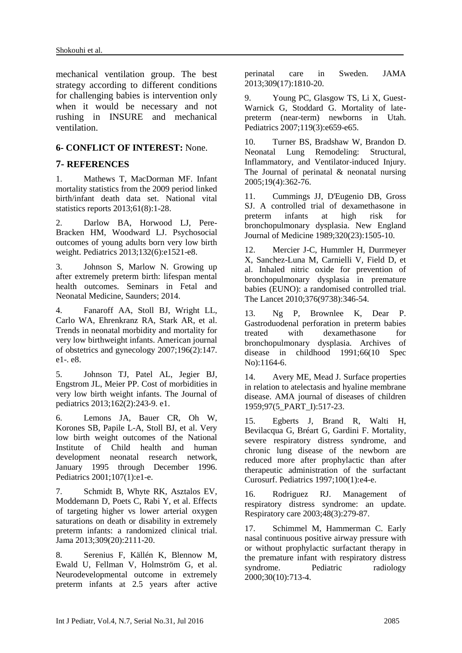mechanical ventilation group. The best strategy according to different conditions for challenging babies is intervention only when it would be necessary and not rushing in INSURE and mechanical ventilation.

#### **6- CONFLICT OF INTEREST:** None.

#### **7- REFERENCES**

<span id="page-6-0"></span>1. Mathews T, MacDorman MF. Infant mortality statistics from the 2009 period linked birth/infant death data set. National vital statistics reports 2013;61(8):1-28.

<span id="page-6-1"></span>2. Darlow BA, Horwood LJ, Pere-Bracken HM, Woodward LJ. Psychosocial outcomes of young adults born very low birth weight. Pediatrics 2013;132(6):e1521-e8.

<span id="page-6-2"></span>3. Johnson S, Marlow N. Growing up after extremely preterm birth: lifespan mental health outcomes. Seminars in Fetal and Neonatal Medicine, Saunders; 2014.

<span id="page-6-3"></span>4. Fanaroff AA, Stoll BJ, Wright LL, Carlo WA, Ehrenkranz RA, Stark AR, et al. Trends in neonatal morbidity and mortality for very low birthweight infants. American journal of obstetrics and gynecology 2007;196(2):147. e1-. e8.

5. Johnson TJ, Patel AL, Jegier BJ, Engstrom JL, Meier PP. Cost of morbidities in very low birth weight infants. The Journal of pediatrics 2013;162(2):243-9. e1.

6. Lemons JA, Bauer CR, Oh W, Korones SB, Papile L-A, Stoll BJ, et al. Very low birth weight outcomes of the National Institute of Child health and human development neonatal research network, January 1995 through December 1996. Pediatrics 2001;107(1):e1-e.

<span id="page-6-4"></span>7. Schmidt B, Whyte RK, Asztalos EV, Moddemann D, Poets C, Rabi Y, et al. Effects of targeting higher vs lower arterial oxygen saturations on death or disability in extremely preterm infants: a randomized clinical trial. Jama 2013;309(20):2111-20.

<span id="page-6-5"></span>8. Serenius F, Källén K, Blennow M, Ewald U, Fellman V, Holmström G, et al. Neurodevelopmental outcome in extremely preterm infants at 2.5 years after active perinatal care in Sweden. JAMA 2013;309(17):1810-20.

<span id="page-6-6"></span>9. Young PC, Glasgow TS, Li X, Guest-Warnick G, Stoddard G. Mortality of latepreterm (near-term) newborns in Utah. Pediatrics 2007;119(3):e659-e65.

<span id="page-6-7"></span>10. Turner BS, Bradshaw W, Brandon D. Neonatal Lung Remodeling: Structural, Inflammatory, and Ventilator‐induced Injury. The Journal of perinatal & neonatal nursing 2005;19(4):362-76.

<span id="page-6-8"></span>11. Cummings JJ, D'Eugenio DB, Gross SJ. A controlled trial of dexamethasone in preterm infants at high risk for bronchopulmonary dysplasia. New England Journal of Medicine 1989;320(23):1505-10.

12. Mercier J-C, Hummler H, Durrmeyer X, Sanchez-Luna M, Carnielli V, Field D, et al. Inhaled nitric oxide for prevention of bronchopulmonary dysplasia in premature babies (EUNO): a randomised controlled trial. The Lancet 2010;376(9738):346-54.

13. Ng P, Brownlee K, Dear P. Gastroduodenal perforation in preterm babies treated with dexamethasone for bronchopulmonary dysplasia. Archives of disease in childhood 1991;66(10 Spec No):1164-6.

<span id="page-6-9"></span>14. Avery ME, Mead J. Surface properties in relation to atelectasis and hyaline membrane disease. AMA journal of diseases of children 1959;97(5\_PART\_I):517-23.

15. Egberts J, Brand R, Walti H, Bevilacqua G, Bréart G, Gardini F. Mortality, severe respiratory distress syndrome, and chronic lung disease of the newborn are reduced more after prophylactic than after therapeutic administration of the surfactant Curosurf. Pediatrics 1997;100(1):e4-e.

16. Rodriguez RJ. Management of respiratory distress syndrome: an update. Respiratory care 2003;48(3):279-87.

17. Schimmel M, Hammerman C. Early nasal continuous positive airway pressure with or without prophylactic surfactant therapy in the premature infant with respiratory distress syndrome. Pediatric radiology 2000;30(10):713-4.